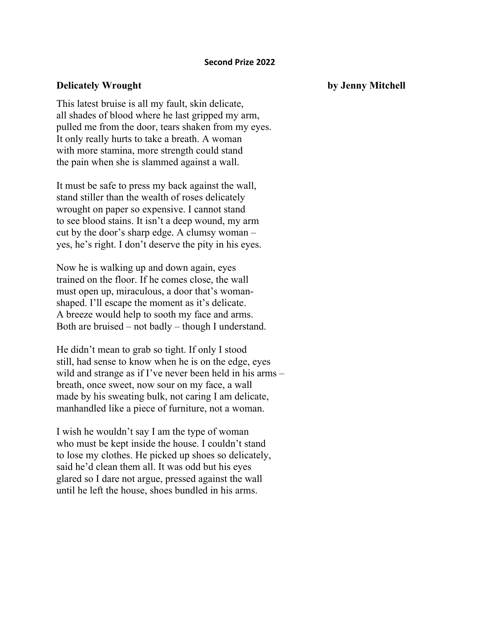## **Second Prize 2022**

## **Delicately Wrought by Jenny Mitchell**

This latest bruise is all my fault, skin delicate, all shades of blood where he last gripped my arm, pulled me from the door, tears shaken from my eyes. It only really hurts to take a breath. A woman with more stamina, more strength could stand the pain when she is slammed against a wall.

It must be safe to press my back against the wall, stand stiller than the wealth of roses delicately wrought on paper so expensive. I cannot stand to see blood stains. It isn't a deep wound, my arm cut by the door's sharp edge. A clumsy woman – yes, he's right. I don't deserve the pity in his eyes.

Now he is walking up and down again, eyes trained on the floor. If he comes close, the wall must open up, miraculous, a door that's womanshaped. I'll escape the moment as it's delicate. A breeze would help to sooth my face and arms. Both are bruised – not badly – though I understand.

He didn't mean to grab so tight. If only I stood still, had sense to know when he is on the edge, eyes wild and strange as if I've never been held in his arms – breath, once sweet, now sour on my face, a wall made by his sweating bulk, not caring I am delicate, manhandled like a piece of furniture, not a woman.

I wish he wouldn't say I am the type of woman who must be kept inside the house. I couldn't stand to lose my clothes. He picked up shoes so delicately, said he'd clean them all. It was odd but his eyes glared so I dare not argue, pressed against the wall until he left the house, shoes bundled in his arms.